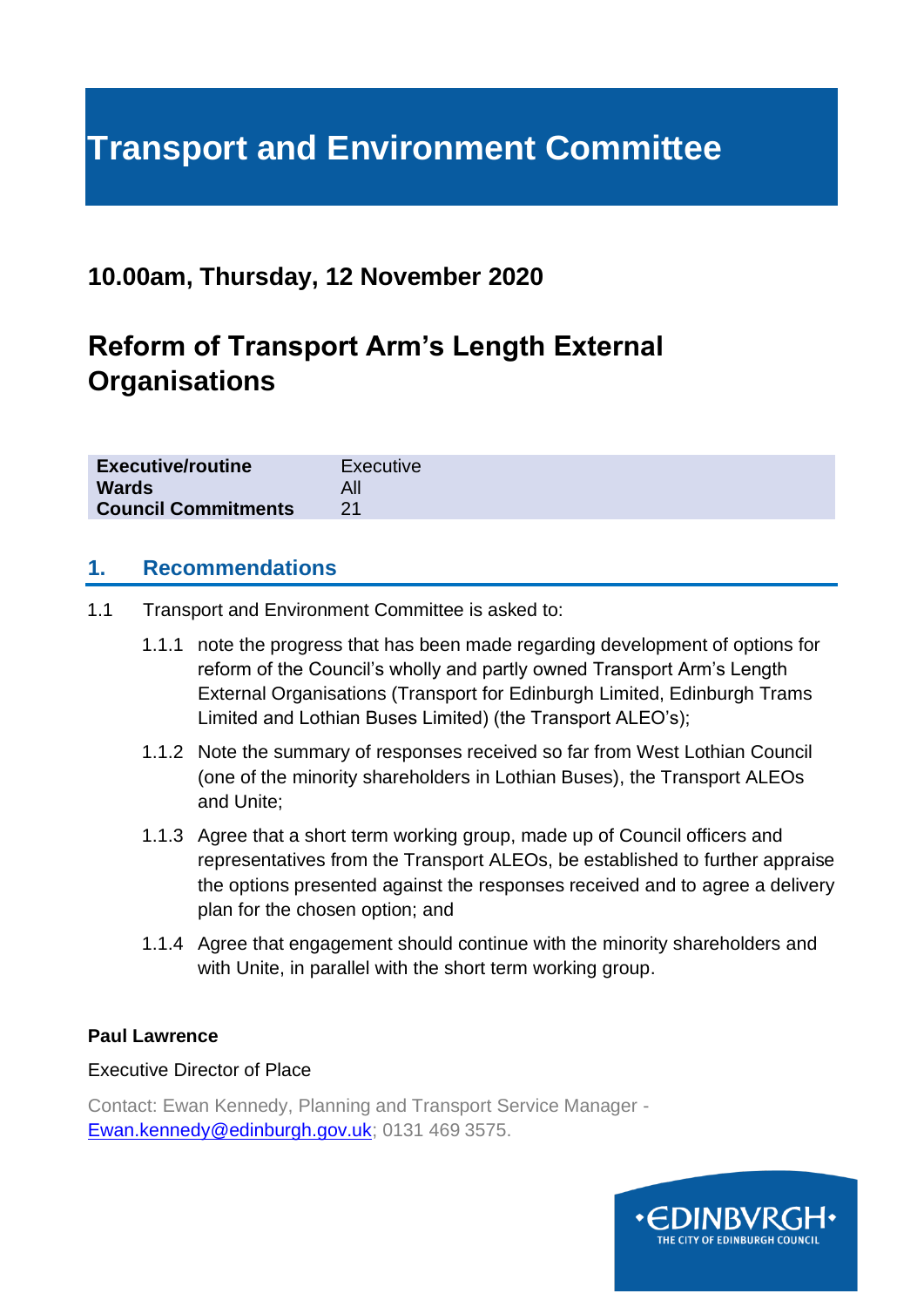# **Transport and Environment Committee**

## **10.00am, Thursday, 12 November 2020**

## **Reform of Transport Arm's Length External Organisations**

| <b>Executive/routine</b>   | Executive |
|----------------------------|-----------|
| <b>Wards</b>               |           |
| <b>Council Commitments</b> |           |

#### **1. Recommendations**

- 1.1 Transport and Environment Committee is asked to:
	- 1.1.1 note the progress that has been made regarding development of options for reform of the Council's wholly and partly owned Transport Arm's Length External Organisations (Transport for Edinburgh Limited, Edinburgh Trams Limited and Lothian Buses Limited) (the Transport ALEO's);
	- 1.1.2 Note the summary of responses received so far from West Lothian Council (one of the minority shareholders in Lothian Buses), the Transport ALEOs and Unite;
	- 1.1.3 Agree that a short term working group, made up of Council officers and representatives from the Transport ALEOs, be established to further appraise the options presented against the responses received and to agree a delivery plan for the chosen option; and
	- 1.1.4 Agree that engagement should continue with the minority shareholders and with Unite, in parallel with the short term working group.

#### **Paul Lawrence**

#### Executive Director of Place

Contact: Ewan Kennedy, Planning and Transport Service Manager - [Ewan.kennedy@edinburgh.gov.uk;](mailto:Ewan.kennedy@edinburgh.gov.uk) 0131 469 3575.

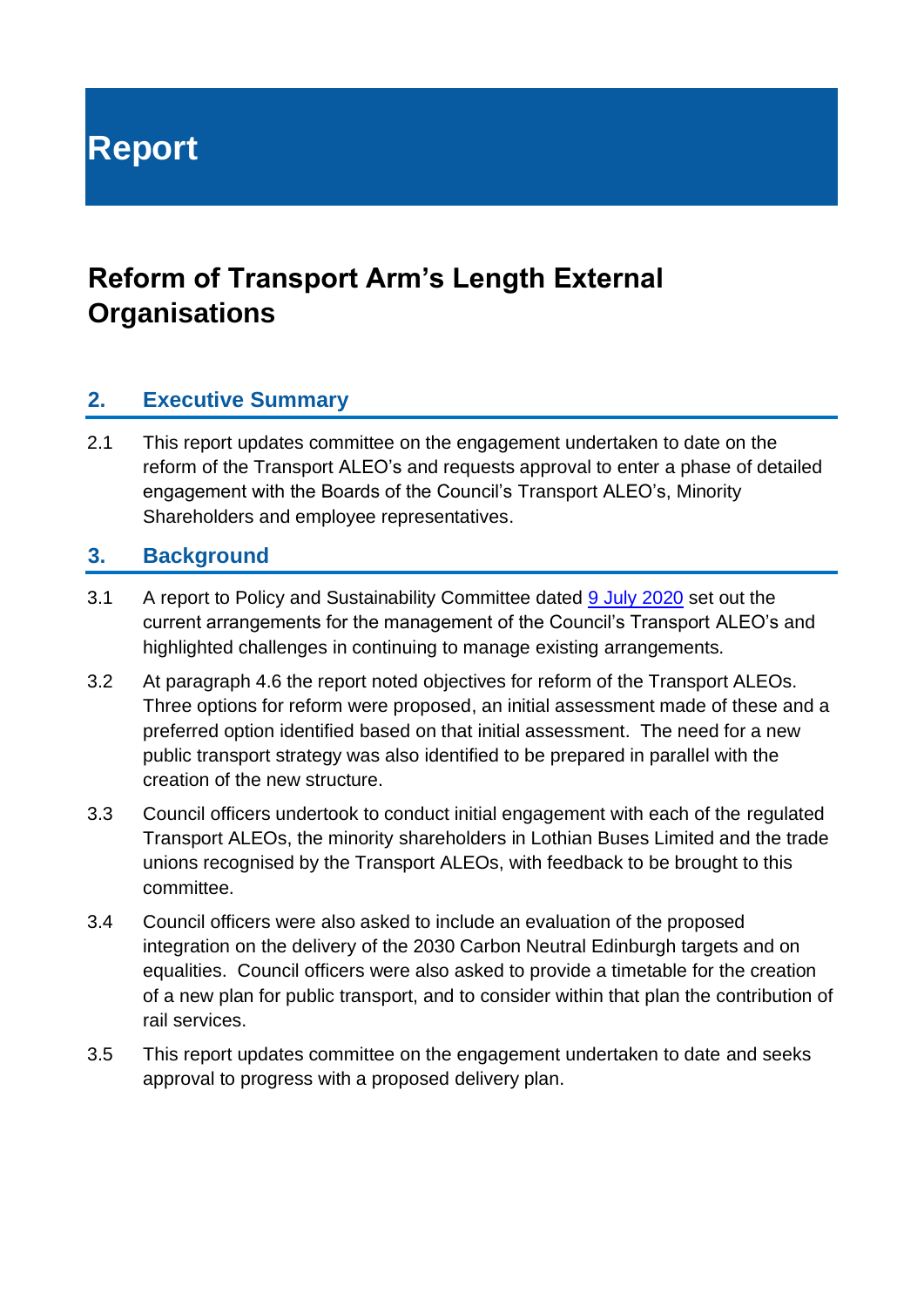**Report**

## **Reform of Transport Arm's Length External Organisations**

#### **2. Executive Summary**

2.1 This report updates committee on the engagement undertaken to date on the reform of the Transport ALEO's and requests approval to enter a phase of detailed engagement with the Boards of the Council's Transport ALEO's, Minority Shareholders and employee representatives.

#### **3. Background**

- 3.1 A report to Policy and Sustainability Committee dated [9 July 2020](https://democracy.edinburgh.gov.uk/documents/s24694/Item%206.10%20-%20Reform%20of%20Transport%20ALEOs.pdf) set out the current arrangements for the management of the Council's Transport ALEO's and highlighted challenges in continuing to manage existing arrangements.
- 3.2 At paragraph 4.6 the report noted objectives for reform of the Transport ALEOs. Three options for reform were proposed, an initial assessment made of these and a preferred option identified based on that initial assessment. The need for a new public transport strategy was also identified to be prepared in parallel with the creation of the new structure.
- 3.3 Council officers undertook to conduct initial engagement with each of the regulated Transport ALEOs, the minority shareholders in Lothian Buses Limited and the trade unions recognised by the Transport ALEOs, with feedback to be brought to this committee.
- 3.4 Council officers were also asked to include an evaluation of the proposed integration on the delivery of the 2030 Carbon Neutral Edinburgh targets and on equalities. Council officers were also asked to provide a timetable for the creation of a new plan for public transport, and to consider within that plan the contribution of rail services.
- 3.5 This report updates committee on the engagement undertaken to date and seeks approval to progress with a proposed delivery plan.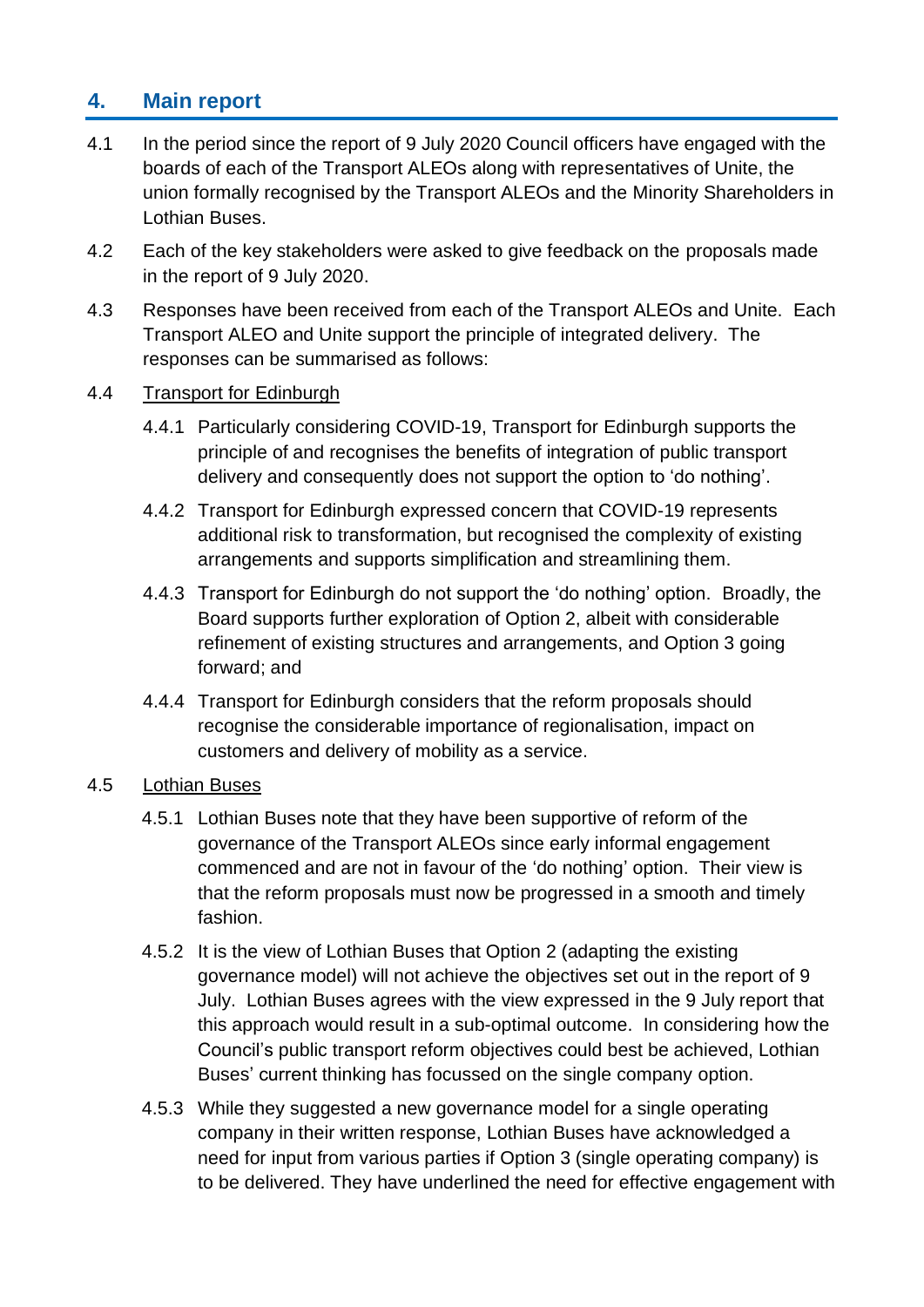## **4. Main report**

- 4.1 In the period since the report of 9 July 2020 Council officers have engaged with the boards of each of the Transport ALEOs along with representatives of Unite, the union formally recognised by the Transport ALEOs and the Minority Shareholders in Lothian Buses.
- 4.2 Each of the key stakeholders were asked to give feedback on the proposals made in the report of 9 July 2020.
- 4.3 Responses have been received from each of the Transport ALEOs and Unite. Each Transport ALEO and Unite support the principle of integrated delivery. The responses can be summarised as follows:

#### 4.4 Transport for Edinburgh

- 4.4.1 Particularly considering COVID-19, Transport for Edinburgh supports the principle of and recognises the benefits of integration of public transport delivery and consequently does not support the option to 'do nothing'.
- 4.4.2 Transport for Edinburgh expressed concern that COVID-19 represents additional risk to transformation, but recognised the complexity of existing arrangements and supports simplification and streamlining them.
- 4.4.3 Transport for Edinburgh do not support the 'do nothing' option. Broadly, the Board supports further exploration of Option 2, albeit with considerable refinement of existing structures and arrangements, and Option 3 going forward; and
- 4.4.4 Transport for Edinburgh considers that the reform proposals should recognise the considerable importance of regionalisation, impact on customers and delivery of mobility as a service.

#### 4.5 Lothian Buses

- 4.5.1 Lothian Buses note that they have been supportive of reform of the governance of the Transport ALEOs since early informal engagement commenced and are not in favour of the 'do nothing' option. Their view is that the reform proposals must now be progressed in a smooth and timely fashion.
- 4.5.2 It is the view of Lothian Buses that Option 2 (adapting the existing governance model) will not achieve the objectives set out in the report of 9 July. Lothian Buses agrees with the view expressed in the 9 July report that this approach would result in a sub-optimal outcome. In considering how the Council's public transport reform objectives could best be achieved, Lothian Buses' current thinking has focussed on the single company option.
- 4.5.3 While they suggested a new governance model for a single operating company in their written response, Lothian Buses have acknowledged a need for input from various parties if Option 3 (single operating company) is to be delivered. They have underlined the need for effective engagement with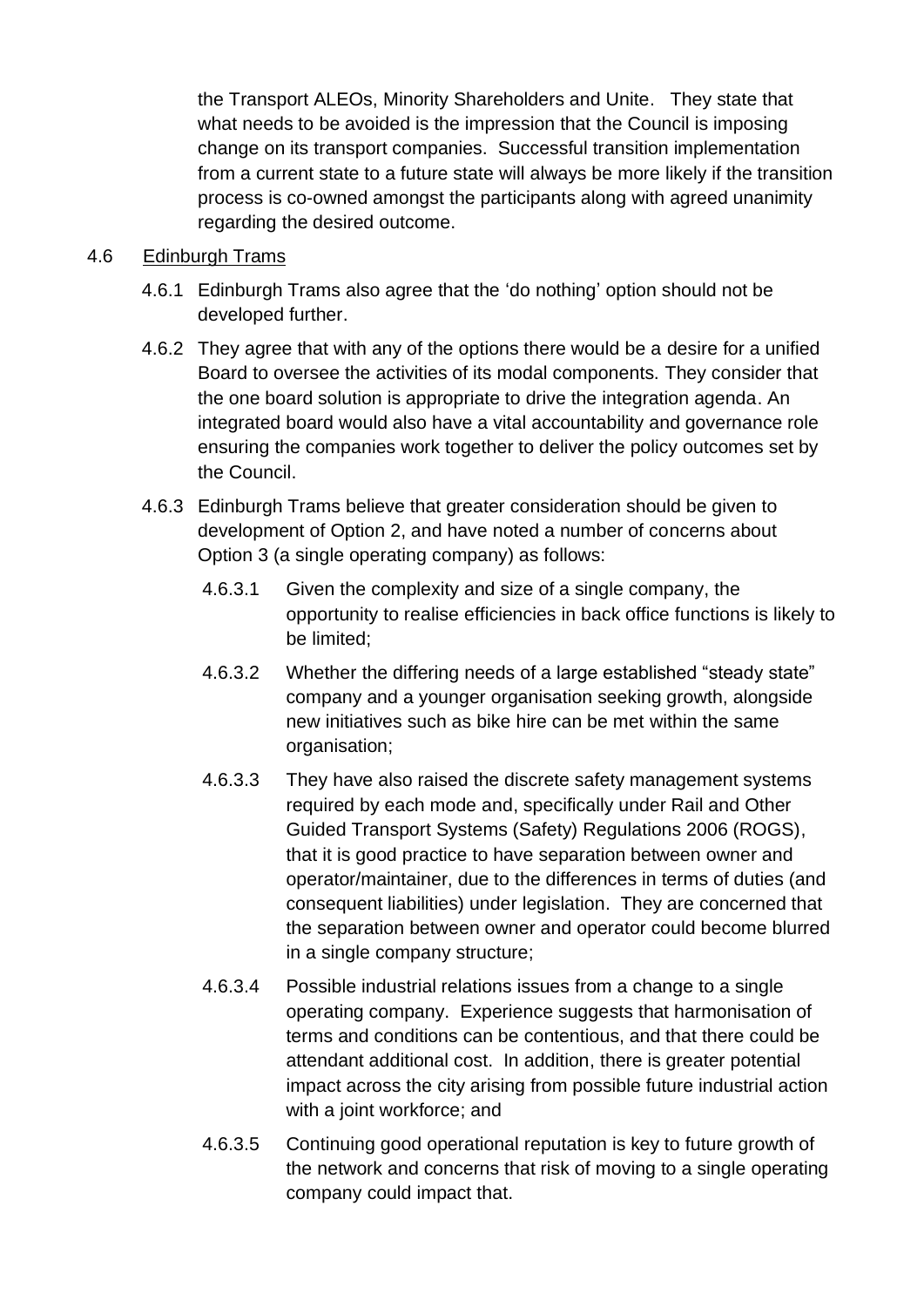the Transport ALEOs, Minority Shareholders and Unite. They state that what needs to be avoided is the impression that the Council is imposing change on its transport companies. Successful transition implementation from a current state to a future state will always be more likely if the transition process is co-owned amongst the participants along with agreed unanimity regarding the desired outcome.

#### 4.6 Edinburgh Trams

- 4.6.1 Edinburgh Trams also agree that the 'do nothing' option should not be developed further.
- 4.6.2 They agree that with any of the options there would be a desire for a unified Board to oversee the activities of its modal components. They consider that the one board solution is appropriate to drive the integration agenda. An integrated board would also have a vital accountability and governance role ensuring the companies work together to deliver the policy outcomes set by the Council.
- 4.6.3 Edinburgh Trams believe that greater consideration should be given to development of Option 2, and have noted a number of concerns about Option 3 (a single operating company) as follows:
	- 4.6.3.1 Given the complexity and size of a single company, the opportunity to realise efficiencies in back office functions is likely to be limited;
	- 4.6.3.2 Whether the differing needs of a large established "steady state" company and a younger organisation seeking growth, alongside new initiatives such as bike hire can be met within the same organisation;
	- 4.6.3.3 They have also raised the discrete safety management systems required by each mode and, specifically under Rail and Other Guided Transport Systems (Safety) Regulations 2006 (ROGS), that it is good practice to have separation between owner and operator/maintainer, due to the differences in terms of duties (and consequent liabilities) under legislation. They are concerned that the separation between owner and operator could become blurred in a single company structure;
	- 4.6.3.4 Possible industrial relations issues from a change to a single operating company. Experience suggests that harmonisation of terms and conditions can be contentious, and that there could be attendant additional cost. In addition, there is greater potential impact across the city arising from possible future industrial action with a joint workforce; and
	- 4.6.3.5 Continuing good operational reputation is key to future growth of the network and concerns that risk of moving to a single operating company could impact that.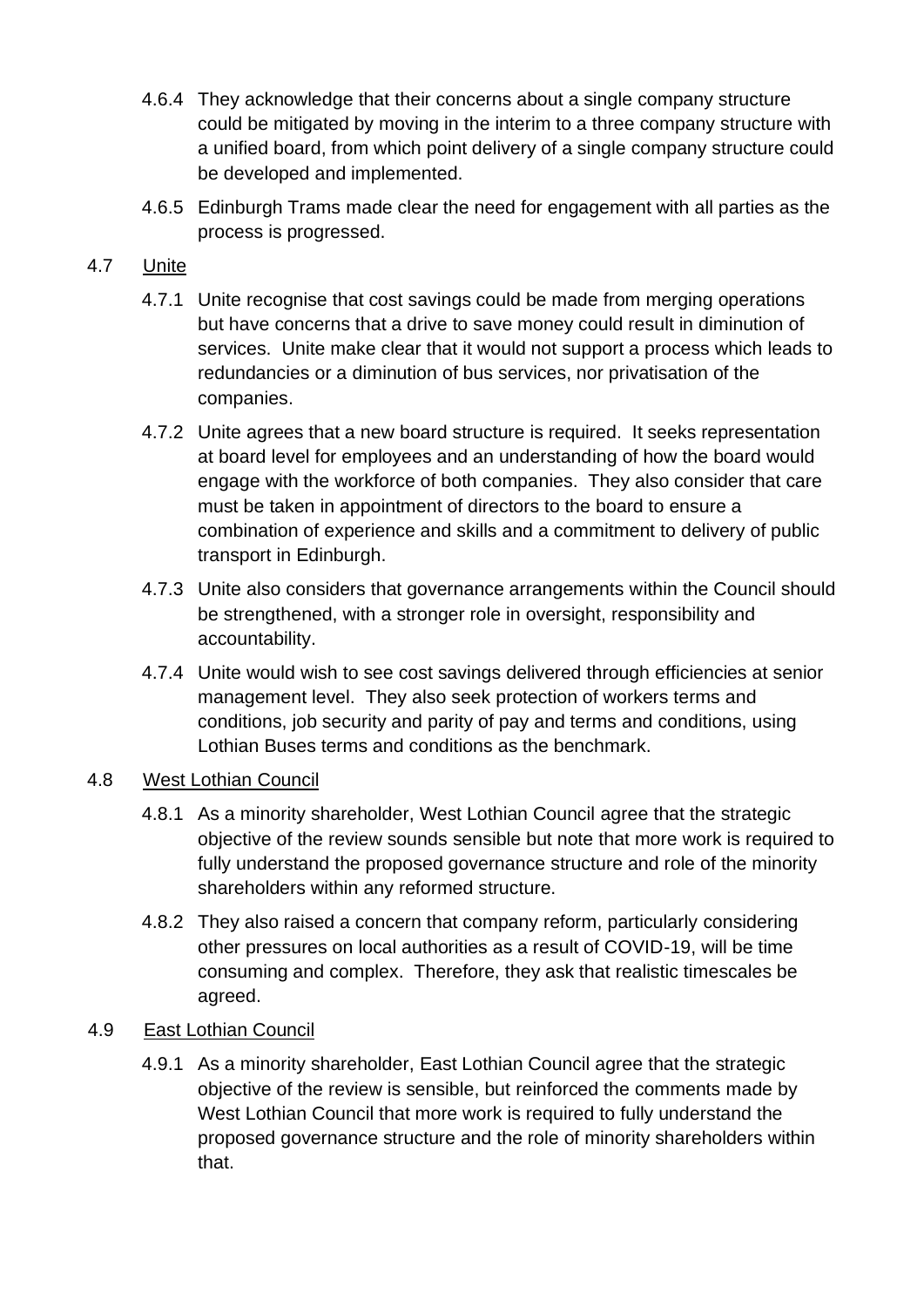- 4.6.4 They acknowledge that their concerns about a single company structure could be mitigated by moving in the interim to a three company structure with a unified board, from which point delivery of a single company structure could be developed and implemented.
- 4.6.5 Edinburgh Trams made clear the need for engagement with all parties as the process is progressed.

#### 4.7 Unite

- 4.7.1 Unite recognise that cost savings could be made from merging operations but have concerns that a drive to save money could result in diminution of services. Unite make clear that it would not support a process which leads to redundancies or a diminution of bus services, nor privatisation of the companies.
- 4.7.2 Unite agrees that a new board structure is required. It seeks representation at board level for employees and an understanding of how the board would engage with the workforce of both companies. They also consider that care must be taken in appointment of directors to the board to ensure a combination of experience and skills and a commitment to delivery of public transport in Edinburgh.
- 4.7.3 Unite also considers that governance arrangements within the Council should be strengthened, with a stronger role in oversight, responsibility and accountability.
- 4.7.4 Unite would wish to see cost savings delivered through efficiencies at senior management level. They also seek protection of workers terms and conditions, job security and parity of pay and terms and conditions, using Lothian Buses terms and conditions as the benchmark.

#### 4.8 West Lothian Council

- 4.8.1 As a minority shareholder, West Lothian Council agree that the strategic objective of the review sounds sensible but note that more work is required to fully understand the proposed governance structure and role of the minority shareholders within any reformed structure.
- 4.8.2 They also raised a concern that company reform, particularly considering other pressures on local authorities as a result of COVID-19, will be time consuming and complex. Therefore, they ask that realistic timescales be agreed.

#### 4.9 East Lothian Council

4.9.1 As a minority shareholder, East Lothian Council agree that the strategic objective of the review is sensible, but reinforced the comments made by West Lothian Council that more work is required to fully understand the proposed governance structure and the role of minority shareholders within that.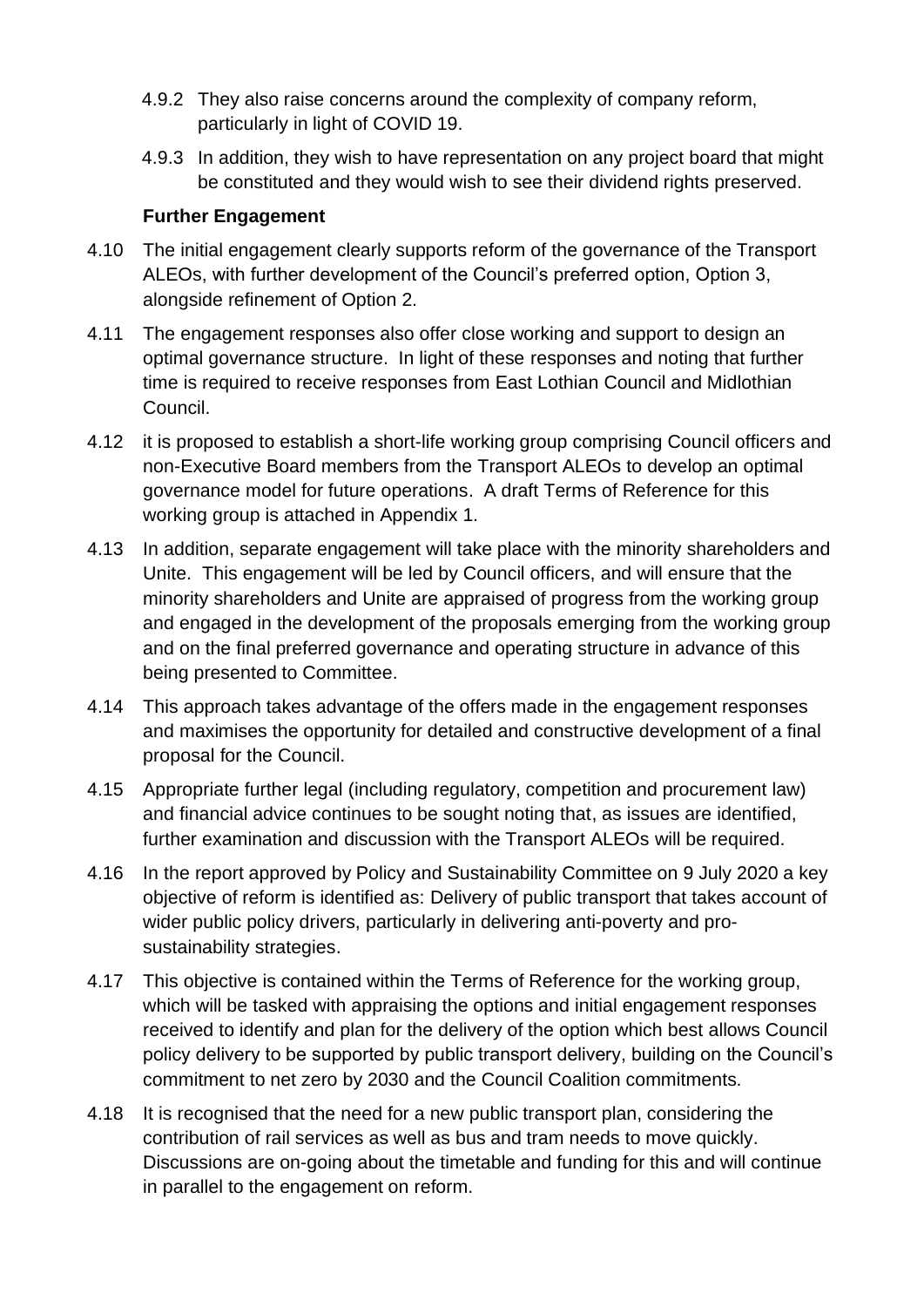- 4.9.2 They also raise concerns around the complexity of company reform, particularly in light of COVID 19.
- 4.9.3 In addition, they wish to have representation on any project board that might be constituted and they would wish to see their dividend rights preserved.

#### **Further Engagement**

- 4.10 The initial engagement clearly supports reform of the governance of the Transport ALEOs, with further development of the Council's preferred option, Option 3, alongside refinement of Option 2.
- 4.11 The engagement responses also offer close working and support to design an optimal governance structure. In light of these responses and noting that further time is required to receive responses from East Lothian Council and Midlothian Council.
- 4.12 it is proposed to establish a short-life working group comprising Council officers and non-Executive Board members from the Transport ALEOs to develop an optimal governance model for future operations. A draft Terms of Reference for this working group is attached in Appendix 1.
- 4.13 In addition, separate engagement will take place with the minority shareholders and Unite. This engagement will be led by Council officers, and will ensure that the minority shareholders and Unite are appraised of progress from the working group and engaged in the development of the proposals emerging from the working group and on the final preferred governance and operating structure in advance of this being presented to Committee.
- 4.14 This approach takes advantage of the offers made in the engagement responses and maximises the opportunity for detailed and constructive development of a final proposal for the Council.
- 4.15 Appropriate further legal (including regulatory, competition and procurement law) and financial advice continues to be sought noting that, as issues are identified, further examination and discussion with the Transport ALEOs will be required.
- 4.16 In the report approved by Policy and Sustainability Committee on 9 July 2020 a key objective of reform is identified as: Delivery of public transport that takes account of wider public policy drivers, particularly in delivering anti-poverty and prosustainability strategies.
- 4.17 This objective is contained within the Terms of Reference for the working group, which will be tasked with appraising the options and initial engagement responses received to identify and plan for the delivery of the option which best allows Council policy delivery to be supported by public transport delivery, building on the Council's commitment to net zero by 2030 and the Council Coalition commitments.
- 4.18 It is recognised that the need for a new public transport plan, considering the contribution of rail services as well as bus and tram needs to move quickly. Discussions are on-going about the timetable and funding for this and will continue in parallel to the engagement on reform.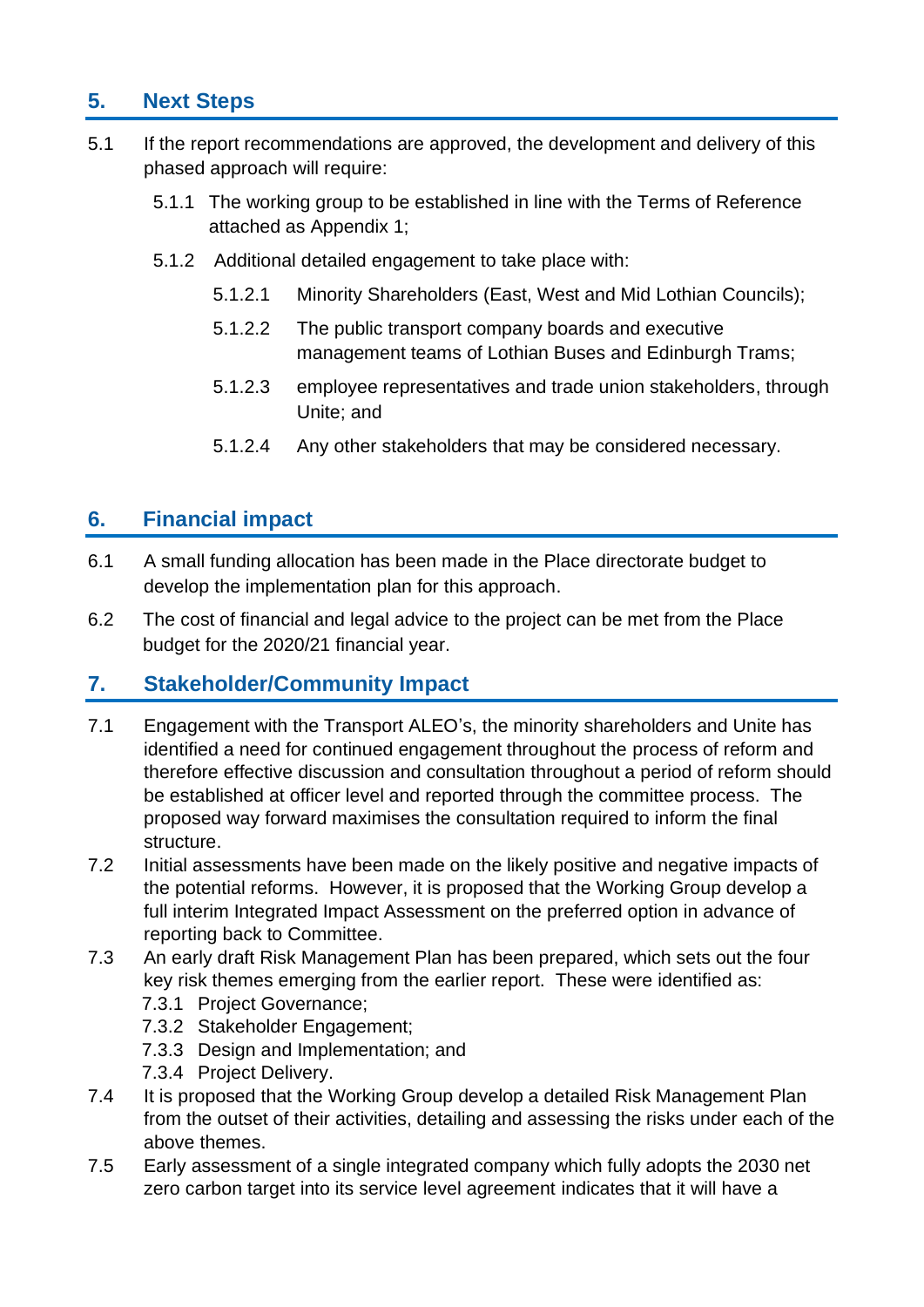## **5. Next Steps**

- 5.1 If the report recommendations are approved, the development and delivery of this phased approach will require:
	- 5.1.1 The working group to be established in line with the Terms of Reference attached as Appendix 1;
	- 5.1.2 Additional detailed engagement to take place with:
		- 5.1.2.1 Minority Shareholders (East, West and Mid Lothian Councils);
		- 5.1.2.2 The public transport company boards and executive management teams of Lothian Buses and Edinburgh Trams;
		- 5.1.2.3 employee representatives and trade union stakeholders, through Unite; and
		- 5.1.2.4 Any other stakeholders that may be considered necessary.

### **6. Financial impact**

- 6.1 A small funding allocation has been made in the Place directorate budget to develop the implementation plan for this approach.
- 6.2 The cost of financial and legal advice to the project can be met from the Place budget for the 2020/21 financial year.

#### **7. Stakeholder/Community Impact**

- 7.1 Engagement with the Transport ALEO's, the minority shareholders and Unite has identified a need for continued engagement throughout the process of reform and therefore effective discussion and consultation throughout a period of reform should be established at officer level and reported through the committee process. The proposed way forward maximises the consultation required to inform the final structure.
- 7.2 Initial assessments have been made on the likely positive and negative impacts of the potential reforms. However, it is proposed that the Working Group develop a full interim Integrated Impact Assessment on the preferred option in advance of reporting back to Committee.
- 7.3 An early draft Risk Management Plan has been prepared, which sets out the four key risk themes emerging from the earlier report. These were identified as:
	- 7.3.1 Project Governance;
	- 7.3.2 Stakeholder Engagement;
	- 7.3.3 Design and Implementation; and
	- 7.3.4 Project Delivery.
- 7.4 It is proposed that the Working Group develop a detailed Risk Management Plan from the outset of their activities, detailing and assessing the risks under each of the above themes.
- 7.5 Early assessment of a single integrated company which fully adopts the 2030 net zero carbon target into its service level agreement indicates that it will have a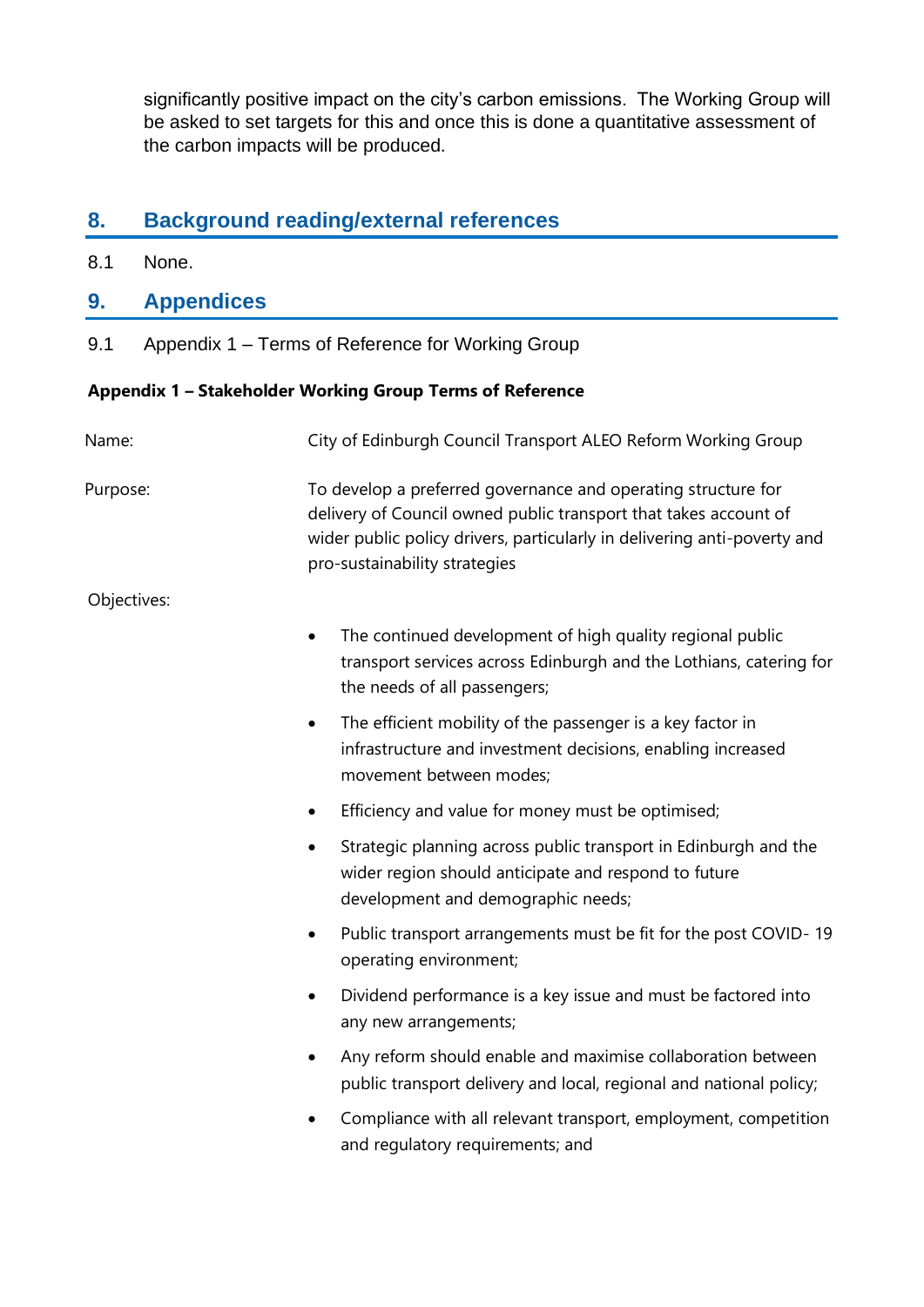significantly positive impact on the city's carbon emissions. The Working Group will be asked to set targets for this and once this is done a quantitative assessment of the carbon impacts will be produced.

## **8. Background reading/external references**

8.1 None.

### **9. Appendices**

9.1 Appendix 1 – Terms of Reference for Working Group

#### **Appendix 1 – Stakeholder Working Group Terms of Reference**

| Name:       | City of Edinburgh Council Transport ALEO Reform Working Group                                                                                                                                                                                  |
|-------------|------------------------------------------------------------------------------------------------------------------------------------------------------------------------------------------------------------------------------------------------|
| Purpose:    | To develop a preferred governance and operating structure for<br>delivery of Council owned public transport that takes account of<br>wider public policy drivers, particularly in delivering anti-poverty and<br>pro-sustainability strategies |
| Objectives: |                                                                                                                                                                                                                                                |
|             | The continued development of high quality regional public<br>$\bullet$<br>transport services across Edinburgh and the Lothians, catering for<br>the needs of all passengers;                                                                   |
|             | The efficient mobility of the passenger is a key factor in<br>$\bullet$<br>infrastructure and investment decisions, enabling increased<br>movement between modes;                                                                              |
|             | Efficiency and value for money must be optimised;<br>٠                                                                                                                                                                                         |
|             | Strategic planning across public transport in Edinburgh and the<br>$\bullet$<br>wider region should anticipate and respond to future<br>development and demographic needs;                                                                     |
|             | Public transport arrangements must be fit for the post COVID-19<br>$\bullet$<br>operating environment;                                                                                                                                         |
|             | Dividend performance is a key issue and must be factored into<br>$\bullet$<br>any new arrangements;                                                                                                                                            |
|             | Any reform should enable and maximise collaboration between<br>$\bullet$<br>public transport delivery and local, regional and national policy;                                                                                                 |
|             | Compliance with all relevant transport, employment, competition<br>$\bullet$<br>and regulatory requirements; and                                                                                                                               |
|             |                                                                                                                                                                                                                                                |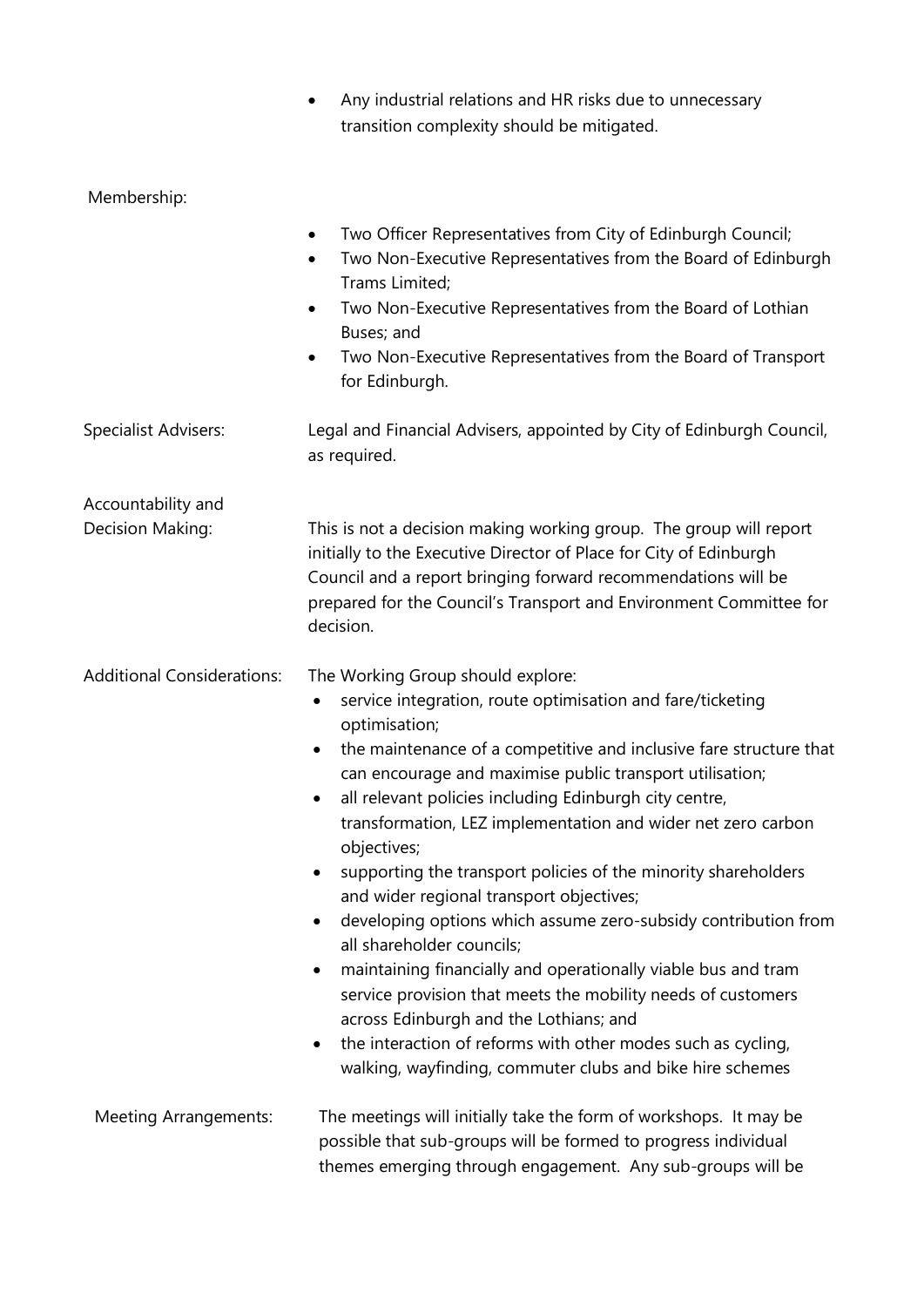|                                   | Any industrial relations and HR risks due to unnecessary<br>٠<br>transition complexity should be mitigated.                                                                                                                                                                                                                                                                                                                                                                                                                                                                                                                                                                                                                                                                                                                                                                                                                                                  |
|-----------------------------------|--------------------------------------------------------------------------------------------------------------------------------------------------------------------------------------------------------------------------------------------------------------------------------------------------------------------------------------------------------------------------------------------------------------------------------------------------------------------------------------------------------------------------------------------------------------------------------------------------------------------------------------------------------------------------------------------------------------------------------------------------------------------------------------------------------------------------------------------------------------------------------------------------------------------------------------------------------------|
| Membership:                       |                                                                                                                                                                                                                                                                                                                                                                                                                                                                                                                                                                                                                                                                                                                                                                                                                                                                                                                                                              |
|                                   | Two Officer Representatives from City of Edinburgh Council;<br>٠<br>Two Non-Executive Representatives from the Board of Edinburgh<br>$\bullet$<br>Trams Limited;<br>Two Non-Executive Representatives from the Board of Lothian<br>$\bullet$<br>Buses; and<br>Two Non-Executive Representatives from the Board of Transport<br>٠<br>for Edinburgh.                                                                                                                                                                                                                                                                                                                                                                                                                                                                                                                                                                                                           |
| Specialist Advisers:              | Legal and Financial Advisers, appointed by City of Edinburgh Council,<br>as required.                                                                                                                                                                                                                                                                                                                                                                                                                                                                                                                                                                                                                                                                                                                                                                                                                                                                        |
| Accountability and                |                                                                                                                                                                                                                                                                                                                                                                                                                                                                                                                                                                                                                                                                                                                                                                                                                                                                                                                                                              |
| Decision Making:                  | This is not a decision making working group. The group will report<br>initially to the Executive Director of Place for City of Edinburgh<br>Council and a report bringing forward recommendations will be<br>prepared for the Council's Transport and Environment Committee for<br>decision.                                                                                                                                                                                                                                                                                                                                                                                                                                                                                                                                                                                                                                                                 |
| <b>Additional Considerations:</b> | The Working Group should explore:<br>service integration, route optimisation and fare/ticketing<br>$\bullet$<br>optimisation;<br>the maintenance of a competitive and inclusive fare structure that<br>can encourage and maximise public transport utilisation;<br>all relevant policies including Edinburgh city centre,<br>transformation, LEZ implementation and wider net zero carbon<br>objectives;<br>supporting the transport policies of the minority shareholders<br>and wider regional transport objectives;<br>developing options which assume zero-subsidy contribution from<br>٠<br>all shareholder councils;<br>maintaining financially and operationally viable bus and tram<br>$\bullet$<br>service provision that meets the mobility needs of customers<br>across Edinburgh and the Lothians; and<br>the interaction of reforms with other modes such as cycling,<br>$\bullet$<br>walking, wayfinding, commuter clubs and bike hire schemes |
| <b>Meeting Arrangements:</b>      | The meetings will initially take the form of workshops. It may be<br>possible that sub-groups will be formed to progress individual<br>themes emerging through engagement. Any sub-groups will be                                                                                                                                                                                                                                                                                                                                                                                                                                                                                                                                                                                                                                                                                                                                                            |